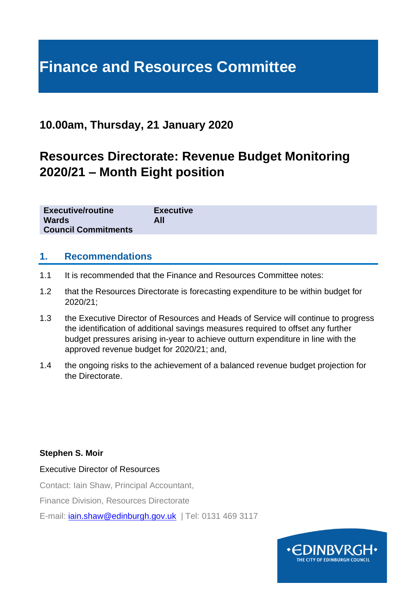# **Finance and Resources Committee**

### **10.00am, Thursday, 21 January 2020**

# **Resources Directorate: Revenue Budget Monitoring 2020/21 – Month Eight position**

| <b>Executive/routine</b>   | <b>Executive</b> |
|----------------------------|------------------|
| <b>Wards</b>               | All              |
| <b>Council Commitments</b> |                  |

#### **1. Recommendations**

- 1.1 It is recommended that the Finance and Resources Committee notes:
- 1.2 that the Resources Directorate is forecasting expenditure to be within budget for 2020/21;
- 1.3 the Executive Director of Resources and Heads of Service will continue to progress the identification of additional savings measures required to offset any further budget pressures arising in-year to achieve outturn expenditure in line with the approved revenue budget for 2020/21; and,
- 1.4 the ongoing risks to the achievement of a balanced revenue budget projection for the Directorate.

#### **Stephen S. Moir**

Executive Director of Resources

Contact: Iain Shaw, Principal Accountant,

Finance Division, Resources Directorate

E-mail: [iain.shaw@edinburgh.gov.uk](mailto:iain.shaw@edinburgh.gov.uk) | Tel: 0131 469 3117

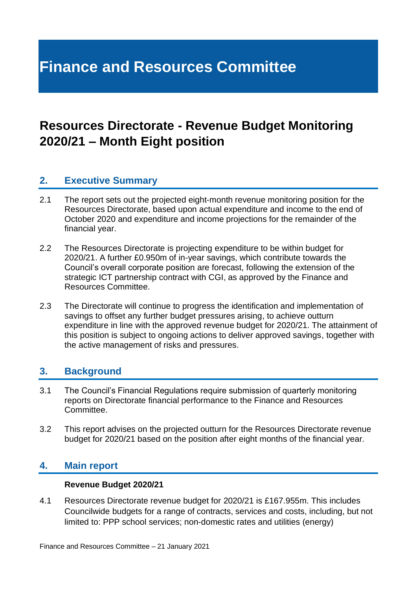# **Finance and Resources Committee**

# **Resources Directorate - Revenue Budget Monitoring 2020/21 – Month Eight position**

### **2. Executive Summary**

- 2.1 The report sets out the projected eight-month revenue monitoring position for the Resources Directorate, based upon actual expenditure and income to the end of October 2020 and expenditure and income projections for the remainder of the financial year.
- 2.2 The Resources Directorate is projecting expenditure to be within budget for 2020/21. A further £0.950m of in-year savings, which contribute towards the Council's overall corporate position are forecast, following the extension of the strategic ICT partnership contract with CGI, as approved by the Finance and Resources Committee.
- 2.3 The Directorate will continue to progress the identification and implementation of savings to offset any further budget pressures arising, to achieve outturn expenditure in line with the approved revenue budget for 2020/21. The attainment of this position is subject to ongoing actions to deliver approved savings, together with the active management of risks and pressures.

#### **3. Background**

- 3.1 The Council's Financial Regulations require submission of quarterly monitoring reports on Directorate financial performance to the Finance and Resources Committee.
- 3.2 This report advises on the projected outturn for the Resources Directorate revenue budget for 2020/21 based on the position after eight months of the financial year.

#### **4. Main report**

#### **Revenue Budget 2020/21**

4.1 Resources Directorate revenue budget for 2020/21 is £167.955m. This includes Councilwide budgets for a range of contracts, services and costs, including, but not limited to: PPP school services; non-domestic rates and utilities (energy)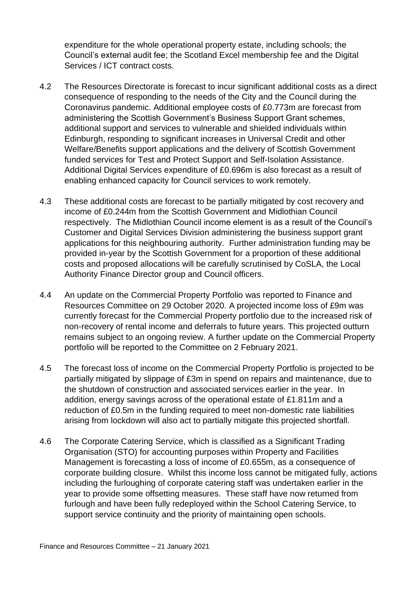expenditure for the whole operational property estate, including schools; the Council's external audit fee; the Scotland Excel membership fee and the Digital Services / ICT contract costs.

- 4.2 The Resources Directorate is forecast to incur significant additional costs as a direct consequence of responding to the needs of the City and the Council during the Coronavirus pandemic. Additional employee costs of £0.773m are forecast from administering the Scottish Government's Business Support Grant schemes, additional support and services to vulnerable and shielded individuals within Edinburgh, responding to significant increases in Universal Credit and other Welfare/Benefits support applications and the delivery of Scottish Government funded services for Test and Protect Support and Self-Isolation Assistance. Additional Digital Services expenditure of £0.696m is also forecast as a result of enabling enhanced capacity for Council services to work remotely.
- 4.3 These additional costs are forecast to be partially mitigated by cost recovery and income of £0.244m from the Scottish Government and Midlothian Council respectively. The Midlothian Council income element is as a result of the Council's Customer and Digital Services Division administering the business support grant applications for this neighbouring authority. Further administration funding may be provided in-year by the Scottish Government for a proportion of these additional costs and proposed allocations will be carefully scrutinised by CoSLA, the Local Authority Finance Director group and Council officers.
- 4.4 An update on the Commercial Property Portfolio was reported to Finance and Resources Committee on 29 October 2020. A projected income loss of £9m was currently forecast for the Commercial Property portfolio due to the increased risk of non-recovery of rental income and deferrals to future years. This projected outturn remains subject to an ongoing review. A further update on the Commercial Property portfolio will be reported to the Committee on 2 February 2021.
- 4.5 The forecast loss of income on the Commercial Property Portfolio is projected to be partially mitigated by slippage of £3m in spend on repairs and maintenance, due to the shutdown of construction and associated services earlier in the year. In addition, energy savings across of the operational estate of £1.811m and a reduction of £0.5m in the funding required to meet non-domestic rate liabilities arising from lockdown will also act to partially mitigate this projected shortfall.
- 4.6 The Corporate Catering Service, which is classified as a Significant Trading Organisation (STO) for accounting purposes within Property and Facilities Management is forecasting a loss of income of £0.655m, as a consequence of corporate building closure. Whilst this income loss cannot be mitigated fully, actions including the furloughing of corporate catering staff was undertaken earlier in the year to provide some offsetting measures. These staff have now returned from furlough and have been fully redeployed within the School Catering Service, to support service continuity and the priority of maintaining open schools.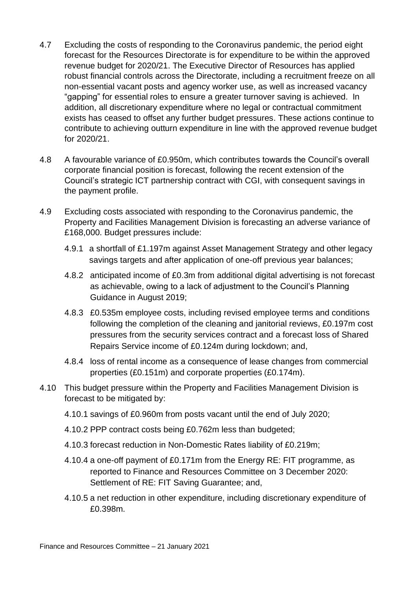- 4.7 Excluding the costs of responding to the Coronavirus pandemic, the period eight forecast for the Resources Directorate is for expenditure to be within the approved revenue budget for 2020/21. The Executive Director of Resources has applied robust financial controls across the Directorate, including a recruitment freeze on all non-essential vacant posts and agency worker use, as well as increased vacancy "gapping" for essential roles to ensure a greater turnover saving is achieved. In addition, all discretionary expenditure where no legal or contractual commitment exists has ceased to offset any further budget pressures. These actions continue to contribute to achieving outturn expenditure in line with the approved revenue budget for 2020/21.
- 4.8 A favourable variance of £0.950m, which contributes towards the Council's overall corporate financial position is forecast, following the recent extension of the Council's strategic ICT partnership contract with CGI, with consequent savings in the payment profile.
- 4.9 Excluding costs associated with responding to the Coronavirus pandemic, the Property and Facilities Management Division is forecasting an adverse variance of £168,000. Budget pressures include:
	- 4.9.1 a shortfall of £1.197m against Asset Management Strategy and other legacy savings targets and after application of one-off previous year balances;
	- 4.8.2 anticipated income of £0.3m from additional digital advertising is not forecast as achievable, owing to a lack of adjustment to the Council's Planning Guidance in August 2019;
	- 4.8.3 £0.535m employee costs, including revised employee terms and conditions following the completion of the cleaning and janitorial reviews, £0.197m cost pressures from the security services contract and a forecast loss of Shared Repairs Service income of £0.124m during lockdown; and,
	- 4.8.4 loss of rental income as a consequence of lease changes from commercial properties (£0.151m) and corporate properties (£0.174m).
- 4.10 This budget pressure within the Property and Facilities Management Division is forecast to be mitigated by:
	- 4.10.1 savings of £0.960m from posts vacant until the end of July 2020;
	- 4.10.2 PPP contract costs being £0.762m less than budgeted;
	- 4.10.3 forecast reduction in Non-Domestic Rates liability of £0.219m;
	- 4.10.4 a one-off payment of £0.171m from the Energy RE: FIT programme, as reported to Finance and Resources Committee on 3 December 2020: Settlement of RE: FIT Saving Guarantee; and,
	- 4.10.5 a net reduction in other expenditure, including discretionary expenditure of £0.398m.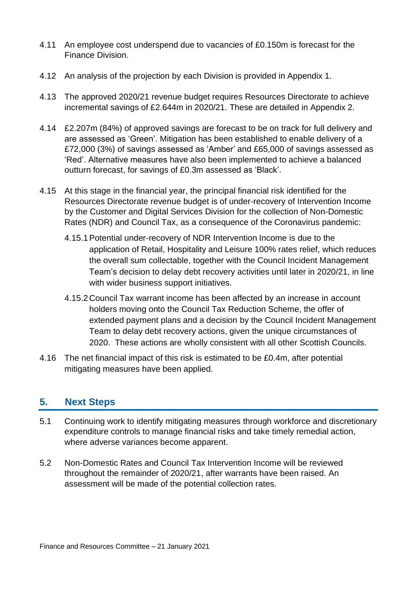- 4.11 An employee cost underspend due to vacancies of £0.150m is forecast for the Finance Division.
- 4.12 An analysis of the projection by each Division is provided in Appendix 1.
- 4.13 The approved 2020/21 revenue budget requires Resources Directorate to achieve incremental savings of £2.644m in 2020/21. These are detailed in Appendix 2.
- 4.14 £2.207m (84%) of approved savings are forecast to be on track for full delivery and are assessed as 'Green'. Mitigation has been established to enable delivery of a £72,000 (3%) of savings assessed as 'Amber' and £65,000 of savings assessed as 'Red'. Alternative measures have also been implemented to achieve a balanced outturn forecast, for savings of £0.3m assessed as 'Black'.
- 4.15 At this stage in the financial year, the principal financial risk identified for the Resources Directorate revenue budget is of under-recovery of Intervention Income by the Customer and Digital Services Division for the collection of Non-Domestic Rates (NDR) and Council Tax, as a consequence of the Coronavirus pandemic:
	- 4.15.1Potential under-recovery of NDR Intervention Income is due to the application of Retail, Hospitality and Leisure 100% rates relief, which reduces the overall sum collectable, together with the Council Incident Management Team's decision to delay debt recovery activities until later in 2020/21, in line with wider business support initiatives.
	- 4.15.2Council Tax warrant income has been affected by an increase in account holders moving onto the Council Tax Reduction Scheme, the offer of extended payment plans and a decision by the Council Incident Management Team to delay debt recovery actions, given the unique circumstances of 2020. These actions are wholly consistent with all other Scottish Councils.
- 4.16 The net financial impact of this risk is estimated to be £0.4m, after potential mitigating measures have been applied.

### **5. Next Steps**

- 5.1 Continuing work to identify mitigating measures through workforce and discretionary expenditure controls to manage financial risks and take timely remedial action, where adverse variances become apparent.
- 5.2 Non-Domestic Rates and Council Tax Intervention Income will be reviewed throughout the remainder of 2020/21, after warrants have been raised. An assessment will be made of the potential collection rates.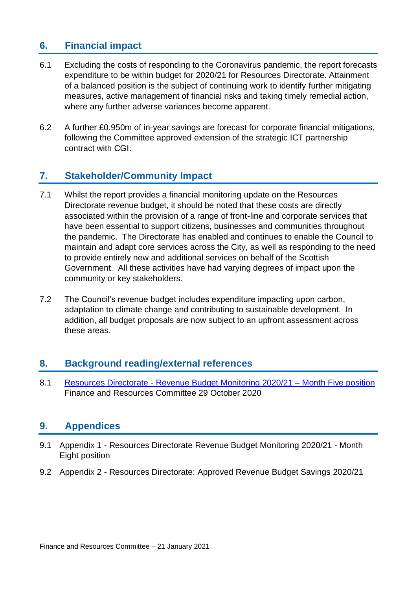### **6. Financial impact**

- 6.1 Excluding the costs of responding to the Coronavirus pandemic, the report forecasts expenditure to be within budget for 2020/21 for Resources Directorate. Attainment of a balanced position is the subject of continuing work to identify further mitigating measures, active management of financial risks and taking timely remedial action, where any further adverse variances become apparent.
- 6.2 A further £0.950m of in-year savings are forecast for corporate financial mitigations, following the Committee approved extension of the strategic ICT partnership contract with CGI.

### **7. Stakeholder/Community Impact**

- 7.1 Whilst the report provides a financial monitoring update on the Resources Directorate revenue budget, it should be noted that these costs are directly associated within the provision of a range of front-line and corporate services that have been essential to support citizens, businesses and communities throughout the pandemic. The Directorate has enabled and continues to enable the Council to maintain and adapt core services across the City, as well as responding to the need to provide entirely new and additional services on behalf of the Scottish Government. All these activities have had varying degrees of impact upon the community or key stakeholders.
- 7.2 The Council's revenue budget includes expenditure impacting upon carbon, adaptation to climate change and contributing to sustainable development. In addition, all budget proposals are now subject to an upfront assessment across these areas.

#### **8. Background reading/external references**

8.1 Resources Directorate - [Revenue Budget Monitoring 2020/21 –](https://democracy.edinburgh.gov.uk/documents/s28348/7.3%20-%20Resources%20Directorate%20M5%20Revenue%20Monitoring.pdf) Month Five position Finance and Resources Committee 29 October 2020

#### **9. Appendices**

- 9.1 Appendix 1 Resources Directorate Revenue Budget Monitoring 2020/21 Month Eight position
- 9.2 Appendix 2 Resources Directorate: Approved Revenue Budget Savings 2020/21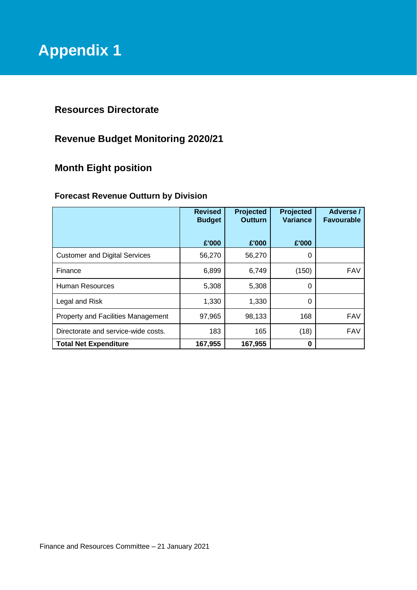### **Resources Directorate**

## **Revenue Budget Monitoring 2020/21**

## **Month Eight position**

#### **Forecast Revenue Outturn by Division**

|                                      | <b>Revised</b><br><b>Budget</b> | Projected<br><b>Outturn</b> | <b>Projected</b><br>Variance | Adverse /<br><b>Favourable</b> |
|--------------------------------------|---------------------------------|-----------------------------|------------------------------|--------------------------------|
|                                      | £'000                           | £'000                       | £'000                        |                                |
| <b>Customer and Digital Services</b> | 56,270                          | 56,270                      | 0                            |                                |
| Finance                              | 6,899                           | 6,749                       | (150)                        | <b>FAV</b>                     |
| Human Resources                      | 5,308                           | 5,308                       | 0                            |                                |
| Legal and Risk                       | 1,330                           | 1,330                       | 0                            |                                |
| Property and Facilities Management   | 97,965                          | 98,133                      | 168                          | <b>FAV</b>                     |
| Directorate and service-wide costs.  | 183                             | 165                         | (18)                         | <b>FAV</b>                     |
| <b>Total Net Expenditure</b>         | 167,955                         | 167,955                     | 0                            |                                |